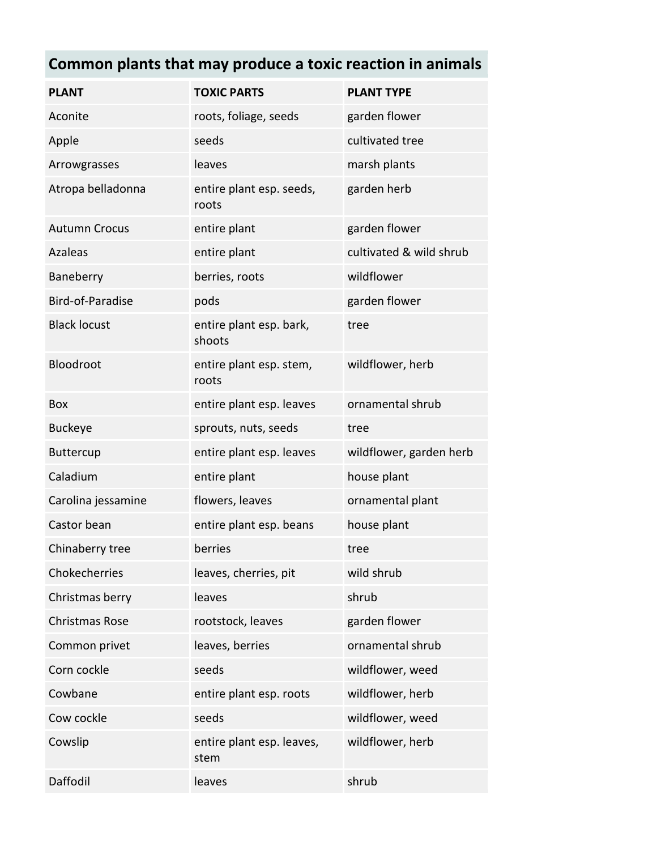## **Common plants that may produce a toxic reaction in animals**

| <b>PLANT</b>          | <b>TOXIC PARTS</b>                | <b>PLANT TYPE</b>       |
|-----------------------|-----------------------------------|-------------------------|
| Aconite               | roots, foliage, seeds             | garden flower           |
| Apple                 | seeds                             | cultivated tree         |
| Arrowgrasses          | leaves                            | marsh plants            |
| Atropa belladonna     | entire plant esp. seeds,<br>roots | garden herb             |
| <b>Autumn Crocus</b>  | entire plant                      | garden flower           |
| <b>Azaleas</b>        | entire plant                      | cultivated & wild shrub |
| Baneberry             | berries, roots                    | wildflower              |
| Bird-of-Paradise      | pods                              | garden flower           |
| <b>Black locust</b>   | entire plant esp. bark,<br>shoots | tree                    |
| Bloodroot             | entire plant esp. stem,<br>roots  | wildflower, herb        |
| <b>Box</b>            | entire plant esp. leaves          | ornamental shrub        |
| <b>Buckeye</b>        | sprouts, nuts, seeds              | tree                    |
| <b>Buttercup</b>      | entire plant esp. leaves          | wildflower, garden herb |
| Caladium              | entire plant                      | house plant             |
| Carolina jessamine    | flowers, leaves                   | ornamental plant        |
| Castor bean           | entire plant esp. beans           | house plant             |
| Chinaberry tree       | berries                           | tree                    |
| Chokecherries         | leaves, cherries, pit             | wild shrub              |
| Christmas berry       | leaves                            | shrub                   |
| <b>Christmas Rose</b> | rootstock, leaves                 | garden flower           |
| Common privet         | leaves, berries                   | ornamental shrub        |
| Corn cockle           | seeds                             | wildflower, weed        |
| Cowbane               | entire plant esp. roots           | wildflower, herb        |
| Cow cockle            | seeds                             | wildflower, weed        |
| Cowslip               | entire plant esp. leaves,<br>stem | wildflower, herb        |
| Daffodil              | leaves                            | shrub                   |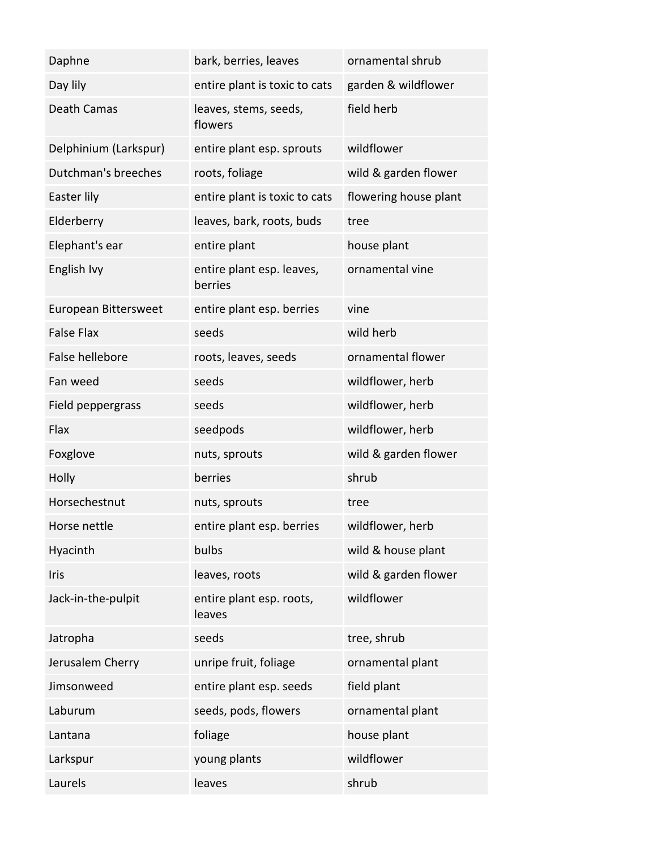| Daphne                 | bark, berries, leaves                | ornamental shrub      |
|------------------------|--------------------------------------|-----------------------|
| Day lily               | entire plant is toxic to cats        | garden & wildflower   |
| Death Camas            | leaves, stems, seeds,<br>flowers     | field herb            |
| Delphinium (Larkspur)  | entire plant esp. sprouts            | wildflower            |
| Dutchman's breeches    | roots, foliage                       | wild & garden flower  |
| Easter lily            | entire plant is toxic to cats        | flowering house plant |
| Elderberry             | leaves, bark, roots, buds            | tree                  |
| Elephant's ear         | entire plant                         | house plant           |
| English Ivy            | entire plant esp. leaves,<br>berries | ornamental vine       |
| European Bittersweet   | entire plant esp. berries            | vine                  |
| <b>False Flax</b>      | seeds                                | wild herb             |
| <b>False hellebore</b> | roots, leaves, seeds                 | ornamental flower     |
| Fan weed               | seeds                                | wildflower, herb      |
| Field peppergrass      | seeds                                | wildflower, herb      |
| Flax                   | seedpods                             | wildflower, herb      |
| Foxglove               | nuts, sprouts                        | wild & garden flower  |
| Holly                  | berries                              | shrub                 |
| Horsechestnut          | nuts, sprouts                        | tree                  |
| Horse nettle           | entire plant esp. berries            | wildflower, herb      |
| Hyacinth               | bulbs                                | wild & house plant    |
| <b>Iris</b>            | leaves, roots                        | wild & garden flower  |
| Jack-in-the-pulpit     | entire plant esp. roots,<br>leaves   | wildflower            |
| Jatropha               | seeds                                | tree, shrub           |
| Jerusalem Cherry       | unripe fruit, foliage                | ornamental plant      |
| Jimsonweed             | entire plant esp. seeds              | field plant           |
| Laburum                | seeds, pods, flowers                 | ornamental plant      |
| Lantana                | foliage                              | house plant           |
| Larkspur               | young plants                         | wildflower            |
| Laurels                | leaves                               | shrub                 |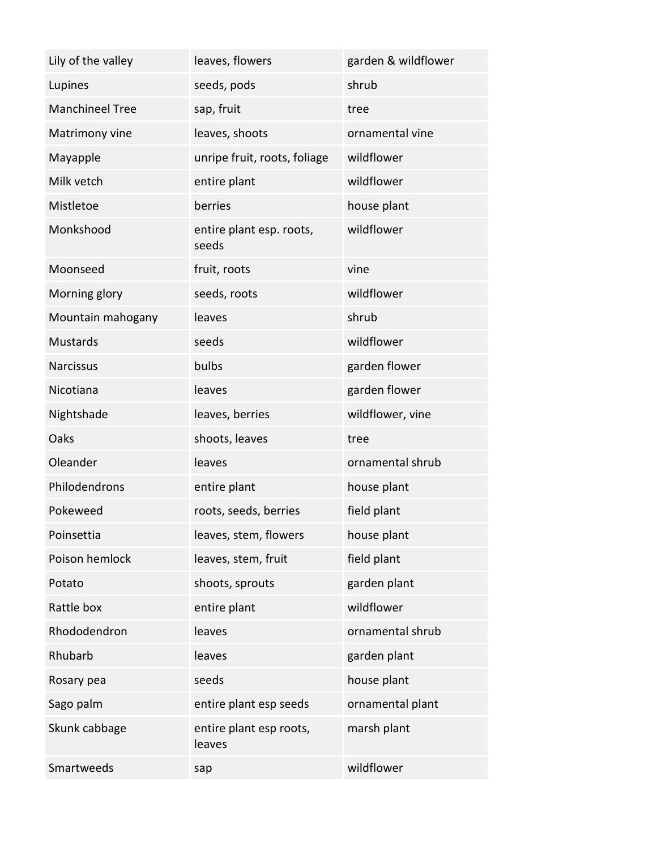| Lily of the valley     | leaves, flowers                   | garden & wildflower |
|------------------------|-----------------------------------|---------------------|
| Lupines                | seeds, pods                       | shrub               |
| <b>Manchineel Tree</b> | sap, fruit                        | tree                |
| Matrimony vine         | leaves, shoots                    | ornamental vine     |
| Mayapple               | unripe fruit, roots, foliage      | wildflower          |
| Milk vetch             | entire plant                      | wildflower          |
| Mistletoe              | berries                           | house plant         |
| Monkshood              | entire plant esp. roots,<br>seeds | wildflower          |
| Moonseed               | fruit, roots                      | vine                |
| Morning glory          | seeds, roots                      | wildflower          |
| Mountain mahogany      | leaves                            | shrub               |
| <b>Mustards</b>        | seeds                             | wildflower          |
| <b>Narcissus</b>       | bulbs                             | garden flower       |
| Nicotiana              | leaves                            | garden flower       |
| Nightshade             | leaves, berries                   | wildflower, vine    |
| Oaks                   | shoots, leaves                    | tree                |
| Oleander               | leaves                            | ornamental shrub    |
| Philodendrons          | entire plant                      | house plant         |
| Pokeweed               | roots, seeds, berries             | field plant         |
| Poinsettia             | leaves, stem, flowers             | house plant         |
| Poison hemlock         | leaves, stem, fruit               | field plant         |
| Potato                 | shoots, sprouts                   | garden plant        |
| Rattle box             | entire plant                      | wildflower          |
| Rhododendron           | leaves                            | ornamental shrub    |
| Rhubarb                | leaves                            | garden plant        |
| Rosary pea             | seeds                             | house plant         |
| Sago palm              | entire plant esp seeds            | ornamental plant    |
| Skunk cabbage          | entire plant esp roots,<br>leaves | marsh plant         |
| Smartweeds             | sap                               | wildflower          |